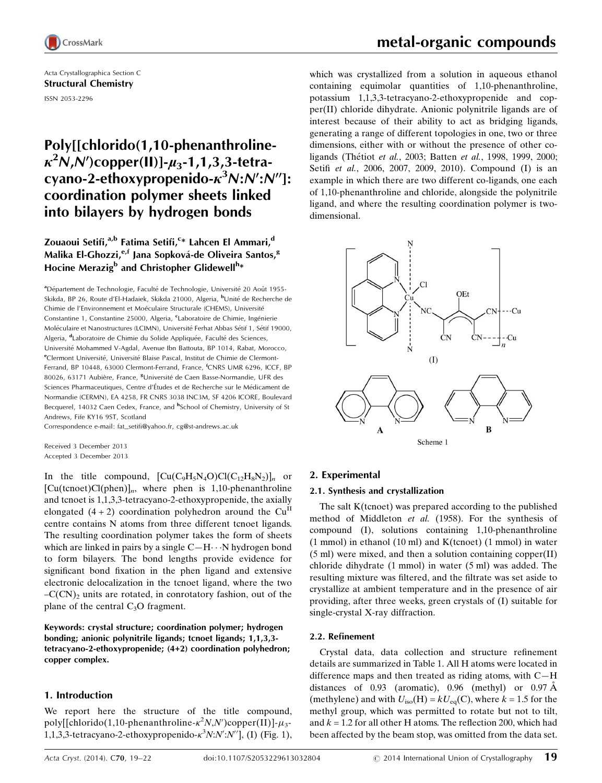

Acta Crystallographica Section C Structural Chemistry ISSN 2053-2296

## Poly[[chlorido(1,10-phenanthroline- $\kappa^2$ N,N')copper(II)]- $\mu_3$ -1,1,3,3-tetracyano-2-ethoxypropenido- $\kappa^3$ N:N':N'']: coordination polymer sheets linked into bilayers by hydrogen bonds

### Zouaoui Setifi,<sup>a,b</sup> Fatima Setifi,<sup>c</sup>\* Lahcen El Ammari,<sup>d</sup> Malika El-Ghozzi,<sup>e,f</sup> Jana Sopková-de Oliveira Santos,<sup>g</sup> Hocine Merazig<sup>b</sup> and Christopher Glidewell<sup>h</sup>\*

<sup>a</sup>Département de Technologie, Faculté de Technologie, Université 20 Août 1955-Skikda, BP 26, Route d'El-Hadaiek, Skikda 21000, Algeria, <sup>b</sup>Unité de Recherche de Chimie de l'Environnement et Moéculaire Structurale (CHEMS), Université Constantine 1, Constantine 25000, Algeria, <sup>c</sup>Laboratoire de Chimie, Ingénierie Moléculaire et Nanostructures (LCIMN), Université Ferhat Abbas Sétif 1, Sétif 19000, Algeria, <sup>d</sup>Laboratoire de Chimie du Solide Appliquée, Faculté des Sciences, Université Mohammed V-Agdal, Avenue Ibn Battouta, BP 1014, Rabat, Morocco, <sup>e</sup>Clermont Université, Université Blaise Pascal, Institut de Chimie de Clermont-Ferrand, BP 10448, 63000 Clermont-Ferrand, France, <sup>f</sup> CNRS UMR 6296, ICCF, BP 80026, 63171 Aubière, France, <sup>g</sup>Université de Caen Basse-Normandie, UFR des Sciences Pharmaceutiques, Centre d'Études et de Recherche sur le Médicament de Normandie (CERMN), EA 4258, FR CNRS 3038 INC3M, SF 4206 ICORE, Boulevard Becquerel, 14032 Caen Cedex, France, and <sup>h</sup>School of Chemistry, University of St Andrews, Fife KY16 9ST, Scotland

Correspondence e-mail: [fat\\_setifi@yahoo.fr](http://scripts.iucr.org/cgi-bin/cr.cgi?rm=pdfbb&cnor=sk3522&bbid=BB16), [cg@st-andrews.ac.uk](http://scripts.iucr.org/cgi-bin/cr.cgi?rm=pdfbb&cnor=sk3522&bbid=BB16)

Received 3 December 2013 Accepted 3 December 2013

In the title compound,  $\left[\text{Cu}(C_9H_5N_4O)\text{Cl}(C_{12}H_8N_2)\right]_n$  or  $[Cu(tenoet)Cl(phen)]_n$ , where phen is 1,10-phenanthroline and tcnoet is 1,1,3,3-tetracyano-2-ethoxypropenide, the axially elongated  $(4 + 2)$  coordination polyhedron around the Cu<sup>II</sup> centre contains N atoms from three different tcnoet ligands. The resulting coordination polymer takes the form of sheets which are linked in pairs by a single  $C-H \cdots N$  hydrogen bond to form bilayers. The bond lengths provide evidence for significant bond fixation in the phen ligand and extensive electronic delocalization in the tcnoet ligand, where the two  $-C(CN)_2$  units are rotated, in conrotatory fashion, out of the plane of the central  $C_3O$  fragment.

Keywords: crystal structure; coordination polymer; hydrogen bonding; anionic polynitrile ligands; tcnoet ligands; 1,1,3,3 tetracyano-2-ethoxypropenide; (4+2) coordination polyhedron; copper complex.

#### 1. Introduction

We report here the structure of the title compound, poly[[chlorido(1,10-phenanthroline- $\kappa^2 N, N'$ )copper(II)]- $\mu_3$ -1,1,3,3-tetracyano-2-ethoxypropenido- $\kappa^3 N: N': N''$ ], (I) (Fig. 1),

which was crystallized from a solution in aqueous ethanol containing equimolar quantities of 1,10-phenanthroline, potassium 1,1,3,3-tetracyano-2-ethoxypropenide and copper(II) chloride dihydrate. Anionic polynitrile ligands are of interest because of their ability to act as bridging ligands, generating a range of different topologies in one, two or three dimensions, either with or without the presence of other coligands (Thétiot et al., 2003; Batten et al., 1998, 1999, 2000; Setifi et al., 2006, 2007, 2009, 2010). Compound (I) is an example in which there are two different co-ligands, one each of 1,10-phenanthroline and chloride, alongside the polynitrile ligand, and where the resulting coordination polymer is twodimensional.



#### 2. Experimental

#### 2.1. Synthesis and crystallization

The salt K(tcnoet) was prepared according to the published method of Middleton et al. (1958). For the synthesis of compound (I), solutions containing 1,10-phenanthroline  $(1 \text{ mmol})$  in ethanol  $(10 \text{ ml})$  and K $(t)$ cnoet)  $(1 \text{ mmol})$  in water (5 ml) were mixed, and then a solution containing copper(II) chloride dihydrate (1 mmol) in water (5 ml) was added. The resulting mixture was filtered, and the filtrate was set aside to crystallize at ambient temperature and in the presence of air providing, after three weeks, green crystals of (I) suitable for single-crystal X-ray diffraction.

#### 2.2. Refinement

Crystal data, data collection and structure refinement details are summarized in Table 1. All H atoms were located in difference maps and then treated as riding atoms, with C—H distances of 0.93 (aromatic), 0.96 (methyl) or 0.97  $\AA$ (methylene) and with  $U_{iso}(H) = kU_{eq}(C)$ , where  $k = 1.5$  for the methyl group, which was permitted to rotate but not to tilt, and  $k = 1.2$  for all other H atoms. The reflection 200, which had been affected by the beam stop, was omitted from the data set.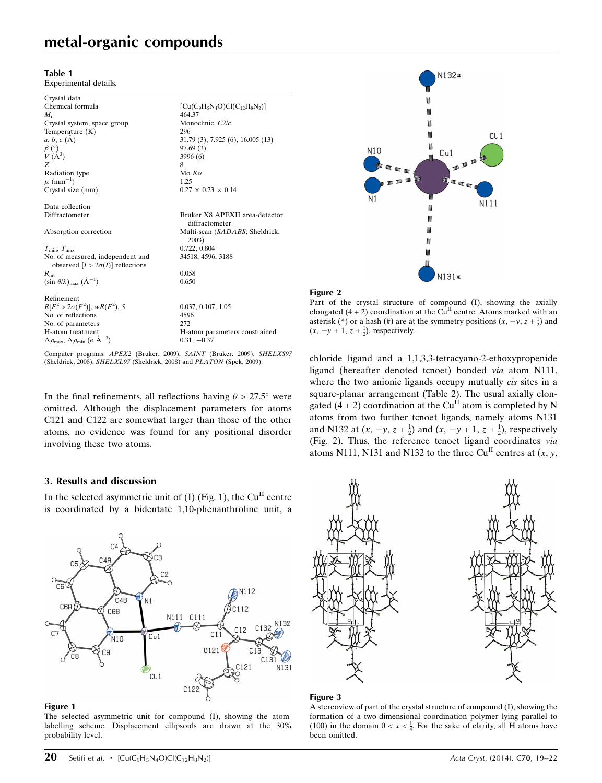## metal-organic compounds

#### Table 1

Experimental details.

| Crystal data                                                               |                                                  |
|----------------------------------------------------------------------------|--------------------------------------------------|
| Chemical formula                                                           | $[Cu(C9H5N4O)Cl(C12H8N2)]$                       |
| $M_{r}$                                                                    | 464.37                                           |
| Crystal system, space group                                                | Monoclinic, C2/c                                 |
| Temperature $(K)$                                                          | 296                                              |
| $a, b, c (\AA)$                                                            | 31.79 (3), 7.925 (6), 16.005 (13)                |
| $\beta$ (°)                                                                | 97.69(3)                                         |
| $V(A^3)$                                                                   | 3996 (6)                                         |
| Z                                                                          | 8                                                |
| Radiation type                                                             | Mo $K\alpha$                                     |
| $\mu$ (mm <sup>-1</sup> )                                                  | 1.25                                             |
| Crystal size (mm)                                                          | $0.27 \times 0.23 \times 0.14$                   |
|                                                                            |                                                  |
| Data collection                                                            |                                                  |
| Diffractometer                                                             | Bruker X8 APEXII area-detector<br>diffractometer |
| Absorption correction                                                      | Multi-scan (SADABS; Sheldrick,<br>2003)          |
| $T_{\min}, T_{\max}$                                                       | 0.722, 0.804                                     |
| No. of measured, independent and                                           | 34518, 4596, 3188                                |
| observed $[I > 2\sigma(I)]$ reflections                                    |                                                  |
| $R_{\rm int}$                                                              | 0.058                                            |
| $(\sin \theta/\lambda)_{\text{max}} (\AA^{-1})$                            | 0.650                                            |
|                                                                            |                                                  |
| Refinement                                                                 |                                                  |
| $R[F^2 > 2\sigma(F^2)], wR(F^2), S$                                        | 0.037, 0.107, 1.05                               |
| No. of reflections                                                         | 4596                                             |
| No. of parameters                                                          | 272                                              |
| H-atom treatment                                                           | H-atom parameters constrained                    |
| $\Delta\rho_{\text{max}}$ , $\Delta\rho_{\text{min}}$ (e Å <sup>-3</sup> ) | $0.31, -0.37$                                    |

Computer programs: APEX2 (Bruker, 2009), SAINT (Bruker, 2009), SHELXS97 (Sheldrick, 2008), SHELXL97 (Sheldrick, 2008) and PLATON (Spek, 2009).

In the final refinements, all reflections having  $\theta > 27.5^{\circ}$  were omitted. Although the displacement parameters for atoms C121 and C122 are somewhat larger than those of the other atoms, no evidence was found for any positional disorder involving these two atoms.

#### 3. Results and discussion

In the selected asymmetric unit of  $(I)$  (Fig. 1), the Cu<sup>II</sup> centre is coordinated by a bidentate 1,10-phenanthroline unit, a



#### Figure 1

The selected asymmetric unit for compound (I), showing the atomlabelling scheme. Displacement ellipsoids are drawn at the 30% probability level.





Part of the crystal structure of compound (I), showing the axially elongated  $(4 + 2)$  coordination at the Cu<sup>II</sup> centre. Atoms marked with an asterisk (\*) or a hash (#) are at the symmetry positions  $(x, -y, z + \frac{1}{2})$  and  $(x, -y + 1, z + \frac{1}{2})$ , respectively.

chloride ligand and a 1,1,3,3-tetracyano-2-ethoxypropenide ligand (hereafter denoted tcnoet) bonded via atom N111, where the two anionic ligands occupy mutually *cis* sites in a square-planar arrangement (Table 2). The usual axially elongated (4 + 2) coordination at the Cu<sup>II</sup> atom is completed by N atoms from two further tcnoet ligands, namely atoms N131 and N132 at  $(x, -y, z + \frac{1}{2})$  and  $(x, -y + 1, z + \frac{1}{2})$ , respectively (Fig. 2). Thus, the reference tcnoet ligand coordinates via atoms N111, N131 and N132 to the three Cu<sup>II</sup> centres at  $(x, y, z)$ 



#### Figure 3

A stereoview of part of the crystal structure of compound (I), showing the formation of a two-dimensional coordination polymer lying parallel to (100) in the domain  $0 < x < \frac{1}{4}$ . For the sake of clarity, all H atoms have been omitted.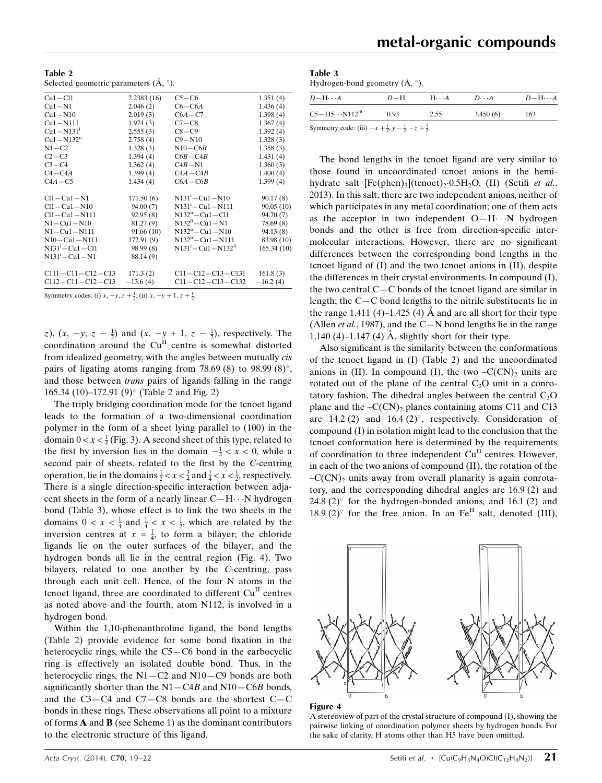| Table 2                                        |  |
|------------------------------------------------|--|
| Selected geometric parameters $(A, \degree)$ . |  |

| $Cu1 - Cl1$              | 2.2383(16) | $C5-C6$                     | 1.351(4)   |
|--------------------------|------------|-----------------------------|------------|
| $Cu1-N1$                 | 2.046(2)   | $C6 - C6A$                  | 1.436(4)   |
| $Cu1 - N10$              | 2.019(3)   | $C6A - C7$                  | 1.398(4)   |
| $Cu1 - N111$             | 1.974(3)   | $C7 - C8$                   | 1.367(4)   |
| $Cu1 - N131'$            | 2.555(3)   | $C8 - C9$                   | 1.392(4)   |
| $Cu1 - N132ii$           | 2.758(4)   | $C9 - N10$                  | 1.328(3)   |
| $N1 - C2$                | 1.328(3)   | $N10 - C6B$                 | 1.358(3)   |
| $C2-C3$                  | 1.394(4)   | $C6B - C4B$                 | 1.431(4)   |
| $C3-C4$                  | 1.362(4)   | $C4B-N1$                    | 1.360(3)   |
| $C4 - C4A$               | 1.399(4)   | $C4A - C4B$                 | 1.400(4)   |
| $C4A - C5$               | 1.434(4)   | $C6A - C6B$                 | 1.399(4)   |
|                          |            |                             |            |
| $Cl1 - Cl1 - N1$         | 171.50(6)  | $N131^{i} - Cu1 - N10$      | 90.17(8)   |
| $Cl1 - Cl1 - N10$        | 94.00 (7)  | $N131'-Cu1-N111$            | 90.05(10)  |
| $Cl1 - Cl1 - N111$       | 92.95(8)   | $N132ii - Cu1 - Cl1$        | 94.70 (7)  |
| $N1 - Cu1 - N10$         | 81.27 (9)  | $N132ii - Cu1 - N1$         | 78.69(8)   |
| $N1 - Cu1 - N111$        | 91.66(10)  | $N132ii - Cu1 - N10$        | 94.13 (8)  |
| $N10 - Cu1 - N111$       | 172.91(9)  | $N132ii - Cu1 - N111$       | 83.98 (10) |
| $N131^{i} - Cu1 - Cl1$   | 98.99 (8)  | $N131^{i} - Cu1 - N132^{i}$ | 165.34(10) |
| $N131^{i} - Cu1 - N1$    | 88.14 (9)  |                             |            |
| $C111 - C11 - C12 - C13$ | 171.3(2)   | C11-C12-C13-C131            | 161.8(3)   |
| $C112 - C11 - C12 - C13$ | $-13.6(4)$ | $C11 - C12 - C13 - C132$    | $-16.2(4)$ |
|                          |            |                             |            |

Symmetry codes: (i)  $x, -y, z + \frac{1}{2}$ ; (ii)  $x, -y + 1, z + \frac{1}{2}$ .

z),  $(x, -y, z - \frac{1}{2})$  and  $(x, -y + 1, z - \frac{1}{2})$ , respectively. The coordination around the Cu<sup>II</sup> centre is somewhat distorted from idealized geometry, with the angles between mutually cis pairs of ligating atoms ranging from 78.69 (8) to 98.99 (8) $^{\circ}$ , and those between *trans* pairs of ligands falling in the range 165.34 (10)–172.91 (9) $^{\circ}$  (Table 2 and Fig. 2)

The triply bridging coordination mode for the tcnoet ligand leads to the formation of a two-dimensional coordination polymer in the form of a sheet lying parallel to (100) in the domain  $0 < x < \frac{1}{4}$  (Fig. 3). A second sheet of this type, related to the first by inversion lies in the domain  $-\frac{1}{4} < x < 0$ , while a second pair of sheets, related to the first by the C-centring operation, lie in the domains  $\frac{1}{2} < x < \frac{3}{4}$  and  $\frac{1}{4} < x < \frac{1}{2}$ , respectively. There is a single direction-specific interaction between adjacent sheets in the form of a nearly linear  $C-H \cdots N$  hydrogen bond (Table 3), whose effect is to link the two sheets in the domains  $0 < x < \frac{1}{4}$  and  $\frac{1}{4} < x < \frac{1}{2}$ , which are related by the inversion centres at  $x = \frac{1}{4}$ , to form a bilayer; the chloride ligands lie on the outer surfaces of the bilayer, and the hydrogen bonds all lie in the central region (Fig. 4). Two bilayers, related to one another by the C-centring, pass through each unit cell. Hence, of the four N atoms in the tcnoet ligand, three are coordinated to different  $Cu<sup>H</sup>$  centres as noted above and the fourth, atom N112, is involved in a hydrogen bond.

Within the 1,10-phenanthroline ligand, the bond lengths (Table 2) provide evidence for some bond fixation in the heterocyclic rings, while the C5—C6 bond in the carbocyclic ring is effectively an isolated double bond. Thus, in the heterocyclic rings, the N1-C2 and N10-C9 bonds are both significantly shorter than the  $N1 - C4B$  and  $N10 - C6B$  bonds, and the C3—C4 and C7—C8 bonds are the shortest C—C bonds in these rings. These observations all point to a mixture of forms A and B (see Scheme 1) as the dominant contributors to the electronic structure of this ligand.

Table 3 Hydrogen-bond geometry  $(\AA, \degree)$ .

| $D - H \cdots A$                                                                   | $D=H$ | $H\cdots A$ | $D\cdots A$ | $D - H \cdots A$ |
|------------------------------------------------------------------------------------|-------|-------------|-------------|------------------|
| $C5 - H5 \cdots N112$ <sup>iii</sup>                                               | 0.93  | 2.55        | 3.450(6)    | 163              |
| Symmetry code: (iii) $-x + \frac{1}{2}$ , $y - \frac{1}{2}$ , $-z + \frac{3}{2}$ . |       |             |             |                  |

The bond lengths in the tcnoet ligand are very similar to those found in uncoordinated tcnoet anions in the hemihydrate salt  $[Fe(phen)_3]$ (tcnoet)<sub>2</sub>·0.5H<sub>2</sub>O, (II) (Setifi *et al.*, 2013). In this salt, there are two independent anions, neither of which participates in any metal coordination; one of them acts as the acceptor in two independent  $O-H\cdots N$  hydrogen bonds and the other is free from direction-specific intermolecular interactions. However, there are no significant differences between the corresponding bond lengths in the tcnoet ligand of (I) and the two tcnoet anions in (II), despite the differences in their crystal environments. In compound (I), the two central C—C bonds of the tcnoet ligand are similar in length; the C—C bond lengths to the nitrile substituents lie in the range 1.411 (4)–1.425 (4)  $\dot{A}$  and are all short for their type (Allen *et al.*, 1987), and the C-N bond lengths lie in the range 1.140 (4)–1.147 (4)  $\dot{A}$ , slightly short for their type.

Also significant is the similarity between the conformations of the tcnoet ligand in (I) (Table 2) and the uncoordinated anions in (II). In compound (I), the two  $-C(CN)_2$  units are rotated out of the plane of the central  $C_3$ O unit in a conrotatory fashion. The dihedral angles between the central  $C_3O$ plane and the  $-C(CN)_2$  planes containing atoms C11 and C13 are 14.2 (2) and 16.4 (2) $^{\circ}$ , respectively. Consideration of compound (I) in isolation might lead to the conclusion that the tcnoet conformation here is determined by the requirements of coordination to three independent  $Cu<sup>H</sup>$  centres. However, in each of the two anions of compound (II), the rotation of the  $-C(CN)_2$  units away from overall planarity is again conrotatory, and the corresponding dihedral angles are 16.9 (2) and 24.8 (2) $\degree$  for the hydrogen-bonded anions, and 16.1 (2) and 18.9 (2) $^{\circ}$  for the free anion. In an Fe<sup>II</sup> salt, denoted (III),





A stereoview of part of the crystal structure of compound (I), showing the pairwise linking of coordination polymer sheets by hydrogen bonds. For the sake of clarity, H atoms other than H5 have been omitted.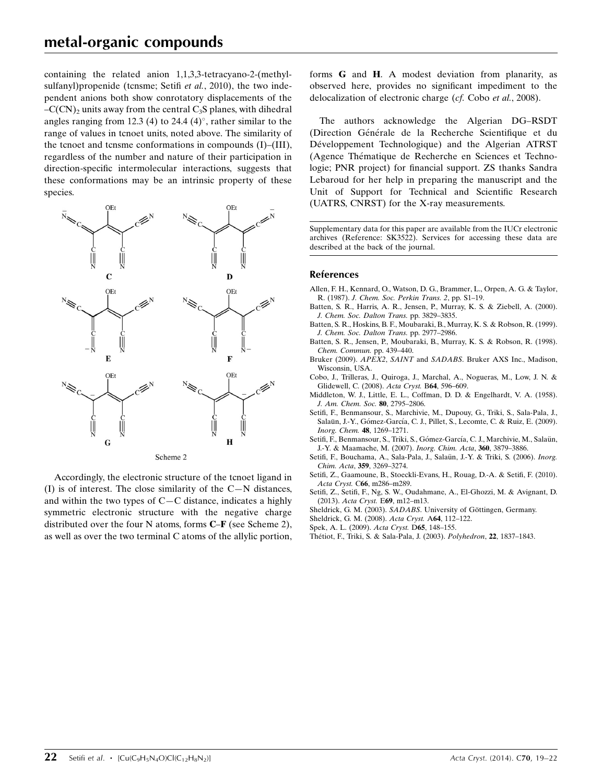containing the related anion 1,1,3,3-tetracyano-2-(methylsulfanyl)propenide (tcnsme; Setifi et al., 2010), the two independent anions both show conrotatory displacements of the  $-C(CN)$ <sub>2</sub> units away from the central C<sub>3</sub>S planes, with dihedral angles ranging from 12.3 (4) to 24.4 (4) $^{\circ}$ , rather similar to the range of values in tcnoet units, noted above. The similarity of the tcnoet and tcnsme conformations in compounds (I)–(III), regardless of the number and nature of their participation in direction-specific intermolecular interactions, suggests that these conformations may be an intrinsic property of these species.



Accordingly, the electronic structure of the tcnoet ligand in (I) is of interest. The close similarity of the C—N distances, and within the two types of C—C distance, indicates a highly symmetric electronic structure with the negative charge distributed over the four N atoms, forms C–F (see Scheme 2), as well as over the two terminal C atoms of the allylic portion, forms G and H. A modest deviation from planarity, as observed here, provides no significant impediment to the delocalization of electronic charge (cf. Cobo et al., 2008).

The authors acknowledge the Algerian DG–RSDT (Direction Générale de la Recherche Scientifique et du Développement Technologique) and the Algerian ATRST (Agence Thématique de Recherche en Sciences et Technologie; PNR project) for financial support. ZS thanks Sandra Lebaroud for her help in preparing the manuscript and the Unit of Support for Technical and Scientific Research (UATRS, CNRST) for the X-ray measurements.

Supplementary data for this paper are available from the IUCr electronic archives (Reference: SK3522). Services for accessing these data are described at the back of the journal.

#### References

- [Allen, F. H., Kennard, O., Watson, D. G., Brammer, L., Orpen, A. G. & Taylor,](http://scripts.iucr.org/cgi-bin/cr.cgi?rm=pdfbb&cnor=sk3522&bbid=BB1) R. (1987). [J. Chem. Soc. Perkin Trans. 2](http://scripts.iucr.org/cgi-bin/cr.cgi?rm=pdfbb&cnor=sk3522&bbid=BB1), pp. S1–19.
- [Batten, S. R., Harris, A. R., Jensen, P., Murray, K. S. & Ziebell, A. \(2000\).](http://scripts.iucr.org/cgi-bin/cr.cgi?rm=pdfbb&cnor=sk3522&bbid=BB2) [J. Chem. Soc. Dalton Trans.](http://scripts.iucr.org/cgi-bin/cr.cgi?rm=pdfbb&cnor=sk3522&bbid=BB2) pp. 3829–3835.
- [Batten, S. R., Hoskins, B. F., Moubaraki, B., Murray, K. S. & Robson, R. \(1999\).](http://scripts.iucr.org/cgi-bin/cr.cgi?rm=pdfbb&cnor=sk3522&bbid=BB3) [J. Chem. Soc. Dalton Trans.](http://scripts.iucr.org/cgi-bin/cr.cgi?rm=pdfbb&cnor=sk3522&bbid=BB3) pp. 2977–2986.
- [Batten, S. R., Jensen, P., Moubaraki, B., Murray, K. S. & Robson, R. \(1998\).](http://scripts.iucr.org/cgi-bin/cr.cgi?rm=pdfbb&cnor=sk3522&bbid=BB4) [Chem. Commun.](http://scripts.iucr.org/cgi-bin/cr.cgi?rm=pdfbb&cnor=sk3522&bbid=BB4) pp. 439–440.
- Bruker (2009). APEX2, SAINT and SADABS[. Bruker AXS Inc., Madison,](http://scripts.iucr.org/cgi-bin/cr.cgi?rm=pdfbb&cnor=sk3522&bbid=BB5) [Wisconsin, USA.](http://scripts.iucr.org/cgi-bin/cr.cgi?rm=pdfbb&cnor=sk3522&bbid=BB5)
- [Cobo, J., Trilleras, J., Quiroga, J., Marchal, A., Nogueras, M., Low, J. N. &](http://scripts.iucr.org/cgi-bin/cr.cgi?rm=pdfbb&cnor=sk3522&bbid=BB6) [Glidewell, C. \(2008\).](http://scripts.iucr.org/cgi-bin/cr.cgi?rm=pdfbb&cnor=sk3522&bbid=BB6) Acta Cryst. B64, 596–609.
- [Middleton, W. J., Little, E. L., Coffman, D. D. & Engelhardt, V. A. \(1958\).](http://scripts.iucr.org/cgi-bin/cr.cgi?rm=pdfbb&cnor=sk3522&bbid=BB7) [J. Am. Chem. Soc.](http://scripts.iucr.org/cgi-bin/cr.cgi?rm=pdfbb&cnor=sk3522&bbid=BB7) 80, 2795–2806.
- [Setifi, F., Benmansour, S., Marchivie, M., Dupouy, G., Triki, S., Sala-Pala, J.,](http://scripts.iucr.org/cgi-bin/cr.cgi?rm=pdfbb&cnor=sk3522&bbid=BB8) Salaün, J.-Y., Gómez-García, C. J., Pillet, S., Lecomte, C. & Ruiz, E. (2009). [Inorg. Chem.](http://scripts.iucr.org/cgi-bin/cr.cgi?rm=pdfbb&cnor=sk3522&bbid=BB8) 48, 1269–1271.
- Setifi, F., Benmansour, S., Triki, S., Gómez-García, C. J., Marchivie, M., Salaün, [J.-Y. & Maamache, M. \(2007\).](http://scripts.iucr.org/cgi-bin/cr.cgi?rm=pdfbb&cnor=sk3522&bbid=BB9) Inorg. Chim. Acta, 360, 3879–3886.
- Setifi, F., Bouchama, A., Sala-Pala, J., Salaün, J.-Y. & Triki, S. (2006). Inorg. Chim. Acta, 359[, 3269–3274.](http://scripts.iucr.org/cgi-bin/cr.cgi?rm=pdfbb&cnor=sk3522&bbid=BB10)
- [Setifi, Z., Gaamoune, B., Stoeckli-Evans, H., Rouag, D.-A. & Setifi, F. \(2010\).](http://scripts.iucr.org/cgi-bin/cr.cgi?rm=pdfbb&cnor=sk3522&bbid=BB11) Acta Cryst. C66[, m286–m289.](http://scripts.iucr.org/cgi-bin/cr.cgi?rm=pdfbb&cnor=sk3522&bbid=BB11)
- [Setifi, Z., Setifi, F., Ng, S. W., Oudahmane, A., El-Ghozzi, M. & Avignant, D.](http://scripts.iucr.org/cgi-bin/cr.cgi?rm=pdfbb&cnor=sk3522&bbid=BB12) (2013). Acta Cryst. E69[, m12–m13.](http://scripts.iucr.org/cgi-bin/cr.cgi?rm=pdfbb&cnor=sk3522&bbid=BB12)
- Sheldrick, G. M. (2003). SADABS. University of Göttingen, Germany.
- [Sheldrick, G. M. \(2008\).](http://scripts.iucr.org/cgi-bin/cr.cgi?rm=pdfbb&cnor=sk3522&bbid=BB14) Acta Cryst. A64, 112–122.
- [Spek, A. L. \(2009\).](http://scripts.iucr.org/cgi-bin/cr.cgi?rm=pdfbb&cnor=sk3522&bbid=BB15) Acta Cryst. D65, 148–155.
- [The´tiot, F., Triki, S. & Sala-Pala, J. \(2003\).](http://scripts.iucr.org/cgi-bin/cr.cgi?rm=pdfbb&cnor=sk3522&bbid=BB16) Polyhedron, 22, 1837–1843.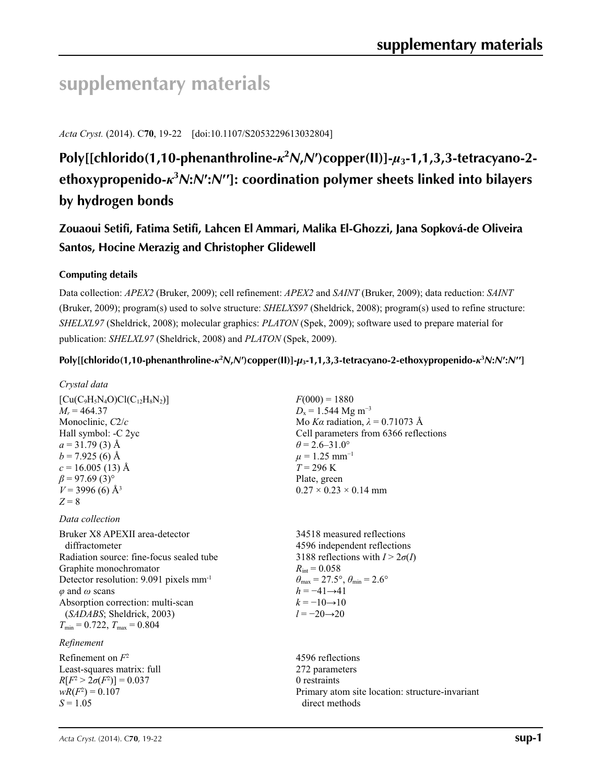# **supplementary materials**

*Acta Cryst.* (2014). C**70**, 19-22 [doi:10.1107/S2053229613032804]

## **Poly[[chlorido(1,10-phenanthroline-***κ***<sup>2</sup>** *N***,***N***′)copper(II)]-***µ***3-1,1,3,3-tetracyano-2 ethoxypropenido-***κ***<sup>3</sup>** *N***:***N***′:***N***′′]: coordination polymer sheets linked into bilayers by hydrogen bonds**

**Zouaoui Setifi, Fatima Setifi, Lahcen El Ammari, Malika El-Ghozzi, Jana Sopková-de Oliveira Santos, Hocine Merazig and Christopher Glidewell**

### **Computing details**

Data collection: *APEX2* (Bruker, 2009); cell refinement: *APEX2* and *SAINT* (Bruker, 2009); data reduction: *SAINT* (Bruker, 2009); program(s) used to solve structure: *SHELXS97* (Sheldrick, 2008); program(s) used to refine structure: *SHELXL97* (Sheldrick, 2008); molecular graphics: *PLATON* (Spek, 2009); software used to prepare material for publication: *SHELXL97* (Sheldrick, 2008) and *PLATON* (Spek, 2009).

### Poly[[chlorido(1,10-phenanthroline- $\kappa^2 N$ , N')copper(II)]- $\mu_3$ -1,1,3,3-tetracyano-2-ethoxypropenido- $\kappa^3 N$ : N': N'']

direct methods

| Crystal data                                       |                                                                         |
|----------------------------------------------------|-------------------------------------------------------------------------|
| $[Cu(C_9H_5N_4O)Cl(C_{12}H_8N_2)]$                 | $F(000) = 1880$                                                         |
| $M_r = 464.37$                                     | $D_x = 1.544$ Mg m <sup>-3</sup>                                        |
| Monoclinic, C2/c                                   | Mo Ka radiation, $\lambda = 0.71073$ Å                                  |
| Hall symbol: -C 2yc                                | Cell parameters from 6366 reflections                                   |
| $a = 31.79(3)$ Å                                   | $\theta$ = 2.6–31.0°                                                    |
| $b = 7.925(6)$ Å                                   | $\mu = 1.25$ mm <sup>-1</sup>                                           |
| $c = 16.005(13)$ Å                                 | $T = 296 \text{ K}$                                                     |
| $\beta$ = 97.69 (3) <sup>o</sup>                   | Plate, green                                                            |
| $V = 3996(6)$ Å <sup>3</sup>                       | $0.27 \times 0.23 \times 0.14$ mm                                       |
| $Z = 8$                                            |                                                                         |
| Data collection                                    |                                                                         |
| Bruker X8 APEXII area-detector                     | 34518 measured reflections                                              |
| diffractometer                                     | 4596 independent reflections                                            |
| Radiation source: fine-focus sealed tube           | 3188 reflections with $I > 2\sigma(I)$                                  |
| Graphite monochromator                             | $R_{\rm int} = 0.058$                                                   |
| Detector resolution: 9.091 pixels mm <sup>-1</sup> | $\theta_{\text{max}} = 27.5^{\circ}, \theta_{\text{min}} = 2.6^{\circ}$ |
| $\varphi$ and $\omega$ scans                       | $h = -41 \rightarrow 41$                                                |
| Absorption correction: multi-scan                  | $k = -10 \rightarrow 10$                                                |
| (SADABS; Sheldrick, 2003)                          | $l = -20 \rightarrow 20$                                                |
| $T_{\min} = 0.722, T_{\max} = 0.804$               |                                                                         |
| Refinement                                         |                                                                         |
| Refinement on $F^2$                                | 4596 reflections                                                        |
| Least-squares matrix: full                         | 272 parameters                                                          |
| $R[F^2 > 2\sigma(F^2)] = 0.037$                    | 0 restraints                                                            |
| $wR(F^2) = 0.107$                                  | Primary atom site location: structure-invariant                         |

*S* = 1.05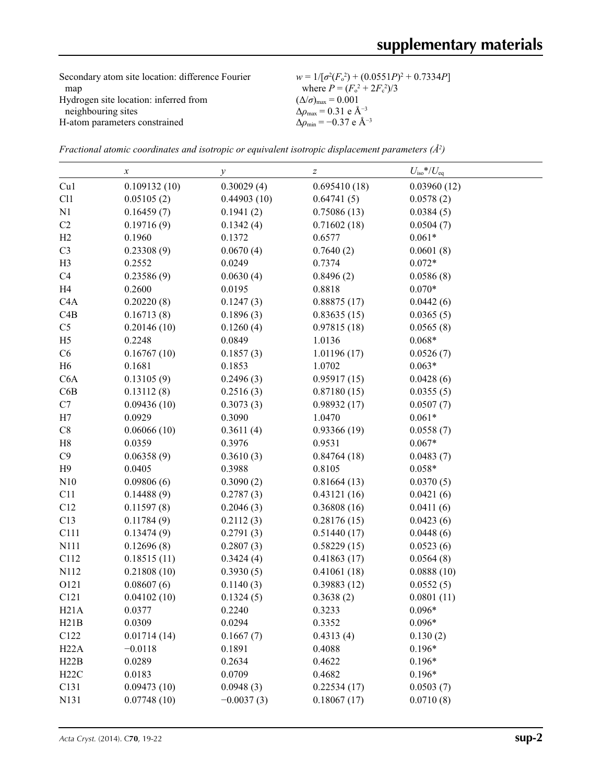| Secondary atom site location: difference Fourier | $w = 1/[\sigma^2(F_0^2) + (0.0551P)^2 + 0.7334P]$ |
|--------------------------------------------------|---------------------------------------------------|
| map                                              | where $P = (F_0^2 + 2F_c^2)/3$                    |
| Hydrogen site location: inferred from            | $(\Delta/\sigma)_{\text{max}} = 0.001$            |
| neighbouring sites                               | $\Delta\rho_{\rm max} = 0.31$ e Å <sup>-3</sup>   |
| H-atom parameters constrained                    | $\Delta\rho_{\rm min}$ = -0.37 e Å <sup>-3</sup>  |

*Fractional atomic coordinates and isotropic or equivalent isotropic displacement parameters (Å<sup>2</sup>)* 

|                  | x            | у            | $\boldsymbol{Z}$ | $U_{\rm iso}*/U_{\rm eq}$ |
|------------------|--------------|--------------|------------------|---------------------------|
| Cu1              | 0.109132(10) | 0.30029(4)   | 0.695410(18)     | 0.03960(12)               |
| C11              | 0.05105(2)   | 0.44903(10)  | 0.64741(5)       | 0.0578(2)                 |
| N1               | 0.16459(7)   | 0.1941(2)    | 0.75086(13)      | 0.0384(5)                 |
| C2               | 0.19716(9)   | 0.1342(4)    | 0.71602(18)      | 0.0504(7)                 |
| H2               | 0.1960       | 0.1372       | 0.6577           | $0.061*$                  |
| C <sub>3</sub>   | 0.23308(9)   | 0.0670(4)    | 0.7640(2)        | 0.0601(8)                 |
| H <sub>3</sub>   | 0.2552       | 0.0249       | 0.7374           | $0.072*$                  |
| C <sub>4</sub>   | 0.23586(9)   | 0.0630(4)    | 0.8496(2)        | 0.0586(8)                 |
| H <sub>4</sub>   | 0.2600       | 0.0195       | 0.8818           | $0.070*$                  |
| C <sub>4</sub> A | 0.20220(8)   | 0.1247(3)    | 0.88875(17)      | 0.0442(6)                 |
| C4B              | 0.16713(8)   | 0.1896(3)    | 0.83635(15)      | 0.0365(5)                 |
| C <sub>5</sub>   | 0.20146(10)  | 0.1260(4)    | 0.97815(18)      | 0.0565(8)                 |
| H <sub>5</sub>   | 0.2248       | 0.0849       | 1.0136           | $0.068*$                  |
| C6               | 0.16767(10)  | 0.1857(3)    | 1.01196(17)      | 0.0526(7)                 |
| H <sub>6</sub>   | 0.1681       | 0.1853       | 1.0702           | $0.063*$                  |
| C6A              | 0.13105(9)   | 0.2496(3)    | 0.95917(15)      | 0.0428(6)                 |
| C6B              | 0.13112(8)   | 0.2516(3)    | 0.87180(15)      | 0.0355(5)                 |
| C7               | 0.09436(10)  | 0.3073(3)    | 0.98932(17)      | 0.0507(7)                 |
| H7               | 0.0929       | 0.3090       | 1.0470           | $0.061*$                  |
| $\mbox{C}8$      | 0.06066(10)  | 0.3611(4)    | 0.93366(19)      | 0.0558(7)                 |
| H8               | 0.0359       | 0.3976       | 0.9531           | $0.067*$                  |
| C9               | 0.06358(9)   | 0.3610(3)    | 0.84764(18)      | 0.0483(7)                 |
| H9               | 0.0405       | 0.3988       | 0.8105           | $0.058*$                  |
| N10              | 0.09806(6)   | 0.3090(2)    | 0.81664(13)      | 0.0370(5)                 |
| C11              | 0.14488(9)   | 0.2787(3)    | 0.43121(16)      | 0.0421(6)                 |
| C12              | 0.11597(8)   | 0.2046(3)    | 0.36808(16)      | 0.0411(6)                 |
| C13              | 0.11784(9)   | 0.2112(3)    | 0.28176(15)      | 0.0423(6)                 |
| C111             | 0.13474(9)   | 0.2791(3)    | 0.51440(17)      | 0.0448(6)                 |
| N111             | 0.12696(8)   | 0.2807(3)    | 0.58229(15)      | 0.0523(6)                 |
| C112             | 0.18515(11)  | 0.3424(4)    | 0.41863(17)      | 0.0564(8)                 |
| N112             | 0.21808(10)  | 0.3930(5)    | 0.41061(18)      | 0.0888(10)                |
| O121             | 0.08607(6)   | 0.1140(3)    | 0.39883(12)      | 0.0552(5)                 |
| C <sub>121</sub> | 0.04102(10)  | 0.1324(5)    | 0.3638(2)        | 0.0801(11)                |
| H21A             | 0.0377       | 0.2240       | 0.3233           | $0.096*$                  |
| H21B             | 0.0309       | 0.0294       | 0.3352           | $0.096*$                  |
| C122             | 0.01714(14)  | 0.1667(7)    | 0.4313(4)        | 0.130(2)                  |
| H22A             | $-0.0118$    | 0.1891       | 0.4088           | $0.196*$                  |
| H22B             | 0.0289       | 0.2634       | 0.4622           | $0.196*$                  |
| H22C             | 0.0183       | 0.0709       | 0.4682           | $0.196*$                  |
| C131             | 0.09473(10)  | 0.0948(3)    | 0.22534(17)      | 0.0503(7)                 |
| N131             | 0.07748(10)  | $-0.0037(3)$ | 0.18067(17)      | 0.0710(8)                 |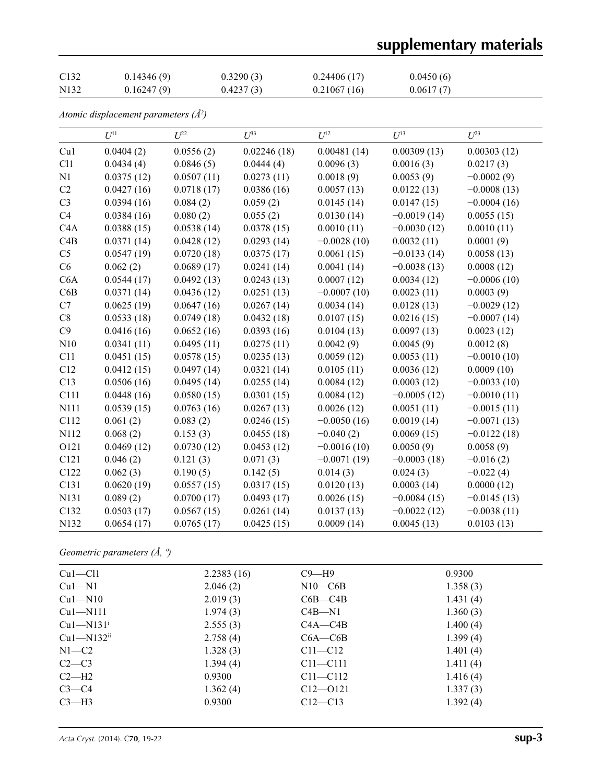# **supplementary materials**

| C <sub>132</sub>  | 0.14346(9) | 0.3290(3) | 0.24406(17) | 0.0450(6) |
|-------------------|------------|-----------|-------------|-----------|
| N <sub>1</sub> 32 | 0.16247(9) | 0.4237(3) | 0.21067(16) | 0.0617(7) |

*Atomic displacement parameters (Å2 )*

|                | $U^{11}$   | $U^{22}$   | $U^{33}$    | $U^{12}$      | $U^{13}$      | $U^{23}$      |
|----------------|------------|------------|-------------|---------------|---------------|---------------|
| Cu1            | 0.0404(2)  | 0.0556(2)  | 0.02246(18) | 0.00481(14)   | 0.00309(13)   | 0.00303(12)   |
| C11            | 0.0434(4)  | 0.0846(5)  | 0.0444(4)   | 0.0096(3)     | 0.0016(3)     | 0.0217(3)     |
| N1             | 0.0375(12) | 0.0507(11) | 0.0273(11)  | 0.0018(9)     | 0.0053(9)     | $-0.0002(9)$  |
| C2             | 0.0427(16) | 0.0718(17) | 0.0386(16)  | 0.0057(13)    | 0.0122(13)    | $-0.0008(13)$ |
| C <sub>3</sub> | 0.0394(16) | 0.084(2)   | 0.059(2)    | 0.0145(14)    | 0.0147(15)    | $-0.0004(16)$ |
| C <sub>4</sub> | 0.0384(16) | 0.080(2)   | 0.055(2)    | 0.0130(14)    | $-0.0019(14)$ | 0.0055(15)    |
| C4A            | 0.0388(15) | 0.0538(14) | 0.0378(15)  | 0.0010(11)    | $-0.0030(12)$ | 0.0010(11)    |
| C4B            | 0.0371(14) | 0.0428(12) | 0.0293(14)  | $-0.0028(10)$ | 0.0032(11)    | 0.0001(9)     |
| C <sub>5</sub> | 0.0547(19) | 0.0720(18) | 0.0375(17)  | 0.0061(15)    | $-0.0133(14)$ | 0.0058(13)    |
| C6             | 0.062(2)   | 0.0689(17) | 0.0241(14)  | 0.0041(14)    | $-0.0038(13)$ | 0.0008(12)    |
| C6A            | 0.0544(17) | 0.0492(13) | 0.0243(13)  | 0.0007(12)    | 0.0034(12)    | $-0.0006(10)$ |
| C6B            | 0.0371(14) | 0.0436(12) | 0.0251(13)  | $-0.0007(10)$ | 0.0023(11)    | 0.0003(9)     |
| C7             | 0.0625(19) | 0.0647(16) | 0.0267(14)  | 0.0034(14)    | 0.0128(13)    | $-0.0029(12)$ |
| C8             | 0.0533(18) | 0.0749(18) | 0.0432(18)  | 0.0107(15)    | 0.0216(15)    | $-0.0007(14)$ |
| C9             | 0.0416(16) | 0.0652(16) | 0.0393(16)  | 0.0104(13)    | 0.0097(13)    | 0.0023(12)    |
| N10            | 0.0341(11) | 0.0495(11) | 0.0275(11)  | 0.0042(9)     | 0.0045(9)     | 0.0012(8)     |
| C11            | 0.0451(15) | 0.0578(15) | 0.0235(13)  | 0.0059(12)    | 0.0053(11)    | $-0.0010(10)$ |
| C12            | 0.0412(15) | 0.0497(14) | 0.0321(14)  | 0.0105(11)    | 0.0036(12)    | 0.0009(10)    |
| C13            | 0.0506(16) | 0.0495(14) | 0.0255(14)  | 0.0084(12)    | 0.0003(12)    | $-0.0033(10)$ |
| C111           | 0.0448(16) | 0.0580(15) | 0.0301(15)  | 0.0084(12)    | $-0.0005(12)$ | $-0.0010(11)$ |
| N111           | 0.0539(15) | 0.0763(16) | 0.0267(13)  | 0.0026(12)    | 0.0051(11)    | $-0.0015(11)$ |
| C112           | 0.061(2)   | 0.083(2)   | 0.0246(15)  | $-0.0050(16)$ | 0.0019(14)    | $-0.0071(13)$ |
| N112           | 0.068(2)   | 0.153(3)   | 0.0455(18)  | $-0.040(2)$   | 0.0069(15)    | $-0.0122(18)$ |
| O121           | 0.0469(12) | 0.0730(12) | 0.0453(12)  | $-0.0016(10)$ | 0.0050(9)     | 0.0058(9)     |
| C121           | 0.046(2)   | 0.121(3)   | 0.071(3)    | $-0.0071(19)$ | $-0.0003(18)$ | $-0.016(2)$   |
| C122           | 0.062(3)   | 0.190(5)   | 0.142(5)    | 0.014(3)      | 0.024(3)      | $-0.022(4)$   |
| C131           | 0.0620(19) | 0.0557(15) | 0.0317(15)  | 0.0120(13)    | 0.0003(14)    | 0.0000(12)    |
| N131           | 0.089(2)   | 0.0700(17) | 0.0493(17)  | 0.0026(15)    | $-0.0084(15)$ | $-0.0145(13)$ |
| C132           | 0.0503(17) | 0.0567(15) | 0.0261(14)  | 0.0137(13)    | $-0.0022(12)$ | $-0.0038(11)$ |
| N132           | 0.0654(17) | 0.0765(17) | 0.0425(15)  | 0.0009(14)    | 0.0045(13)    | 0.0103(13)    |

## *Geometric parameters (Å, º)*

| $Cu1-C11$    | 2.2383(16) | $C9 - H9$     | 0.9300      |
|--------------|------------|---------------|-------------|
| $Cu1-M1$     | 2.046(2)   | $N10$ — $C6B$ | 1.358(3)    |
| $Cu1-M10$    | 2.019(3)   | $C6B - C4B$   | 1.431(4)    |
| $Cu1-M111$   | 1.974(3)   | $C4B-M1$      | 1.360(3)    |
| $Cu1-M131i$  | 2.555(3)   | $C4A - C4B$   | 1.400(4)    |
| $Cu1-M132ii$ | 2.758(4)   | $C6A - C6B$   | 1.399(4)    |
| $N1 - C2$    | 1.328(3)   | $C11 - C12$   | 1.401 $(4)$ |
| $C2-C3$      | 1.394(4)   | $C11 - C111$  | 1.411(4)    |
| $C2-H2$      | 0.9300     | $C11 - C112$  | 1.416(4)    |
| $C3-C4$      | 1.362(4)   | $C12 - 0121$  | 1.337(3)    |
| $C3-H3$      | 0.9300     | $C12 - C13$   | 1.392(4)    |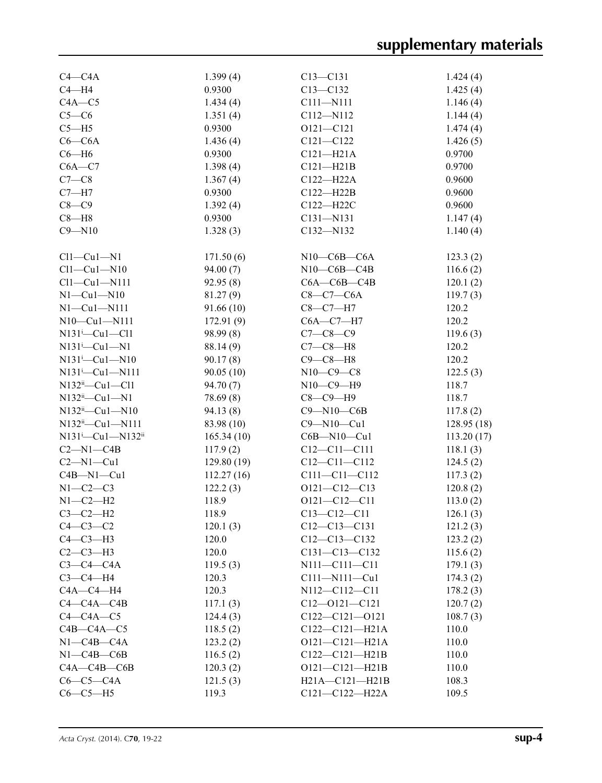| $C4 - C4A$                                | 1.399(4)               | $C13 - C131$                            | 1.424(4)   |
|-------------------------------------------|------------------------|-----------------------------------------|------------|
| $C4 - H4$                                 | 0.9300                 | $C13 - C132$                            | 1.425(4)   |
| $C4A - C5$                                | 1.434(4)               | C111-N111                               | 1.146(4)   |
| $C5-C6$                                   | 1.351(4)               | C112-N112                               | 1.144(4)   |
| $C5 - H5$                                 | 0.9300                 | $O121 - C121$                           | 1.474(4)   |
| $C6-C6A$                                  | 1.436(4)               | $C121 - C122$                           | 1.426(5)   |
| $C6 - H6$                                 | 0.9300                 | $C121 - H21A$                           | 0.9700     |
| $C6A - C7$                                | 1.398(4)               | $C121 - H21B$                           | 0.9700     |
| $C7-C8$                                   | 1.367(4)               | C122-H22A                               | 0.9600     |
| $C7 - H7$                                 | 0.9300                 | $C122 - H22B$                           | 0.9600     |
| $C8-C9$                                   | 1.392(4)               | C122-H22C                               | 0.9600     |
| $C8 - H8$                                 | 0.9300                 | $C131 - N131$                           |            |
| $C9 - N10$                                |                        |                                         | 1.147(4)   |
|                                           | 1.328(3)               | C132-N132                               | 1.140(4)   |
| $Cl1-Cu1-N1$                              | 171.50(6)              | $N10$ — $C6B$ — $C6A$                   | 123.3(2)   |
| $Cl1-Cu1-N10$                             | 94.00(7)               | $N10$ — $C6B$ — $C4B$                   | 116.6(2)   |
| $Cl1-Cu1-N111$                            | 92.95(8)               | $C6A - C6B - C4B$                       | 120.1(2)   |
| $N1-Cu1-N10$                              | 81.27(9)               | $C8-C7-C6A$                             | 119.7(3)   |
| $N1-Cu1-N111$                             | 91.66(10)              | $C8-C7-H7$                              | 120.2      |
| $N10-Cu1-N111$                            | 172.91(9)              | $C6A - C7 - H7$                         | 120.2      |
| $N131$ <sup>i</sup> $-Cu1-C11$            | 98.99(8)               | $C7 - C8 - C9$                          | 119.6(3)   |
| $N131^i$ -Cul-N1                          | 88.14 (9)              | $C7-C8-H8$                              | 120.2      |
| $N131^i$ - Cu1 - N10                      | 90.17(8)               | $C9 - C8 - H8$                          | 120.2      |
| $N131^{i} - Cu1 - N111$                   | 90.05(10)              | $N10-C9-C8$                             | 122.5(3)   |
| $N132$ <sup>ii</sup> -Cu1-Cl1             | 94.70(7)               | $N10-C9-H9$                             | 118.7      |
| $N132$ <sup>ii</sup> —Cu1—N1              | 78.69 (8)              | $C8-C9-H9$                              | 118.7      |
| $N132$ <sup>ii</sup> -Cu1-N10             | 94.13(8)               | $C9 - N10 - C6B$                        | 117.8(2)   |
| $N132^{ii} - Cu1 - N111$                  | 83.98 (10)             | $C9 - N10 - Cu1$                        | 128.95(18) |
| N131 <sup>i</sup> -Cu1-N132 <sup>ii</sup> | 165.34(10)             | $C6B - N10 - Cu1$                       | 113.20(17) |
| $C2-M1-C4B$                               | 117.9(2)               | $C12 - C11 - C111$                      | 118.1(3)   |
| $C2-M1-Cu1$                               | 129.80(19)             | $C12 - C11 - C112$                      |            |
| $C4B-M1-Cu1$                              |                        | $C111 - C11 - C112$                     | 124.5(2)   |
| $N1-C2-C3$                                | 112.27(16)<br>122.2(3) |                                         | 117.3(2)   |
|                                           |                        | $O121 - C12 - C13$                      | 120.8(2)   |
| $N1-C2-H2$                                | 118.9                  | $O121 - C12 - C11$<br>$C13 - C12 - C11$ | 113.0(2)   |
| $C3-C2-H2$                                | 118.9                  |                                         | 126.1(3)   |
| $C4-C3-C2$                                | 120.1(3)               | $C12-C13-C131$                          | 121.2(3)   |
| $C4-C3-H3$                                | 120.0                  | $C12 - C13 - C132$                      | 123.2(2)   |
| $C2-C3-H3$                                | 120.0                  | $C131 - C13 - C132$                     | 115.6(2)   |
| $C3-C4-C4A$                               | 119.5(3)               | N111-C111-C11                           | 179.1(3)   |
| $C3-C4-H4$                                | 120.3                  | $C111 - N111 - Cu1$                     | 174.3(2)   |
| $CAA - C4 - H4$                           | 120.3                  | N112-C112-C11                           | 178.2(3)   |
| $C4 - C4A - C4B$                          | 117.1(3)               | $C12 - 0121 - C121$                     | 120.7(2)   |
| $C4-C4A-C5$                               | 124.4(3)               | $C122-C121-0121$                        | 108.7(3)   |
| $C4B - C4A - C5$                          | 118.5(2)               | $C122-C121-H21A$                        | 110.0      |
| $N1$ — $C4B$ — $C4A$                      | 123.2(2)               | $O121 - C121 - H21A$                    | 110.0      |
| $N1 - C4B - C6B$                          | 116.5(2)               | $C122 - C121 - H21B$                    | 110.0      |
| $C4A - C4B - C6B$                         | 120.3(2)               | $O121 - C121 - H21B$                    | 110.0      |
| $C6-C5-C4A$                               | 121.5(3)               | H21A-C121-H21B                          | 108.3      |
| $C6-C5-H5$                                | 119.3                  | C121-C122-H22A                          | 109.5      |